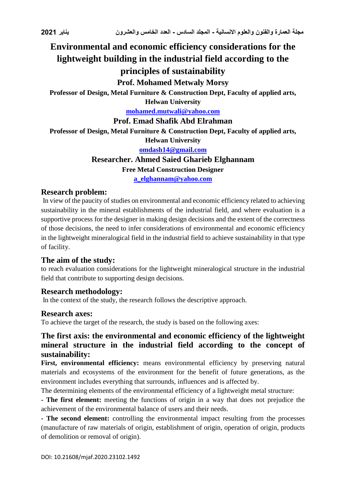# **Environmental and economic efficiency considerations for the lightweight building in the industrial field according to the principles of sustainability**

### **Prof. Mohamed Metwaly Morsy**

**Professor of Design, Metal Furniture & Construction Dept, Faculty of applied arts,** 

**Helwan University**

**[mohamed.mutwali@yahoo.com](mailto:mohamed.mutwali@yahoo.com)**

# **Prof. Emad Shafik Abd Elrahman**

**Professor of Design, Metal Furniture & Construction Dept, Faculty of applied arts,** 

**Helwan University**

#### **[omdash14@gmail.com](mailto:omdash14@gmail.com)**

#### **Researcher. Ahmed Saied Gharieb Elghannam**

**Free Metal Construction Designer**

**[a\\_elghannam@yahoo.com](mailto:a_elghannam@yahoo.com)**

#### **Research problem:**

In view of the paucity of studies on environmental and economic efficiency related to achieving sustainability in the mineral establishments of the industrial field, and where evaluation is a supportive process for the designer in making design decisions and the extent of the correctness of those decisions, the need to infer considerations of environmental and economic efficiency in the lightweight mineralogical field in the industrial field to achieve sustainability in that type of facility.

#### **The aim of the study:**

to reach evaluation considerations for the lightweight mineralogical structure in the industrial field that contribute to supporting design decisions.

#### **Research methodology:**

In the context of the study, the research follows the descriptive approach.

#### **Research axes:**

To achieve the target of the research, the study is based on the following axes:

#### **The first axis: the environmental and economic efficiency of the lightweight mineral structure in the industrial field according to the concept of sustainability:**

First, environmental efficiency: means environmental efficiency by preserving natural materials and ecosystems of the environment for the benefit of future generations, as the environment includes everything that surrounds, influences and is affected by.

The determining elements of the environmental efficiency of a lightweight metal structure:

**- The first element:** meeting the functions of origin in a way that does not prejudice the achievement of the environmental balance of users and their needs.

**- The second element:** controlling the environmental impact resulting from the processes (manufacture of raw materials of origin, establishment of origin, operation of origin, products of demolition or removal of origin).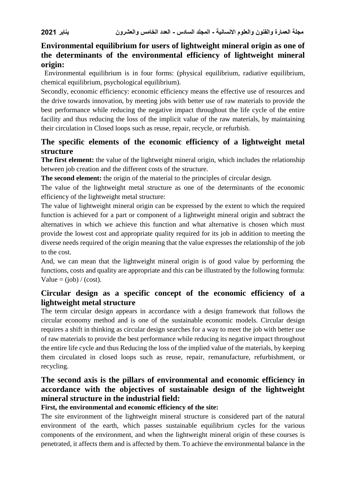# **Environmental equilibrium for users of lightweight mineral origin as one of the determinants of the environmental efficiency of lightweight mineral origin:**

 Environmental equilibrium is in four forms: (physical equilibrium, radiative equilibrium, chemical equilibrium, psychological equilibrium).

Secondly, economic efficiency: economic efficiency means the effective use of resources and the drive towards innovation, by meeting jobs with better use of raw materials to provide the best performance while reducing the negative impact throughout the life cycle of the entire facility and thus reducing the loss of the implicit value of the raw materials, by maintaining their circulation in Closed loops such as reuse, repair, recycle, or refurbish.

## **The specific elements of the economic efficiency of a lightweight metal structure**

**The first element:** the value of the lightweight mineral origin, which includes the relationship between job creation and the different costs of the structure.

**The second element:** the origin of the material to the principles of circular design.

The value of the lightweight metal structure as one of the determinants of the economic efficiency of the lightweight metal structure:

The value of lightweight mineral origin can be expressed by the extent to which the required function is achieved for a part or component of a lightweight mineral origin and subtract the alternatives in which we achieve this function and what alternative is chosen which must provide the lowest cost and appropriate quality required for its job in addition to meeting the diverse needs required of the origin meaning that the value expresses the relationship of the job to the cost.

And, we can mean that the lightweight mineral origin is of good value by performing the functions, costs and quality are appropriate and this can be illustrated by the following formula: Value =  $(iob) / (cost)$ .

### **Circular design as a specific concept of the economic efficiency of a lightweight metal structure**

The term circular design appears in accordance with a design framework that follows the circular economy method and is one of the sustainable economic models. Circular design requires a shift in thinking as circular design searches for a way to meet the job with better use of raw materials to provide the best performance while reducing its negative impact throughout the entire life cycle and thus Reducing the loss of the implied value of the materials, by keeping them circulated in closed loops such as reuse, repair, remanufacture, refurbishment, or recycling.

## **The second axis is the pillars of environmental and economic efficiency in accordance with the objectives of sustainable design of the lightweight mineral structure in the industrial field:**

#### **First, the environmental and economic efficiency of the site:**

The site environment of the lightweight mineral structure is considered part of the natural environment of the earth, which passes sustainable equilibrium cycles for the various components of the environment, and when the lightweight mineral origin of these courses is penetrated, it affects them and is affected by them. To achieve the environmental balance in the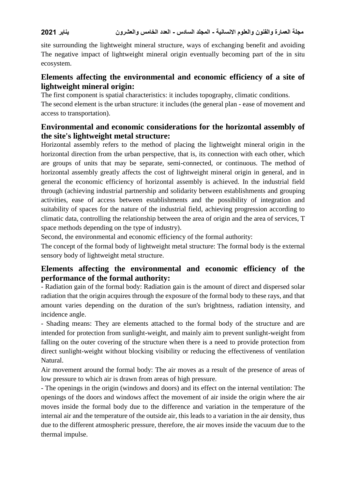site surrounding the lightweight mineral structure, ways of exchanging benefit and avoiding The negative impact of lightweight mineral origin eventually becoming part of the in situ ecosystem.

### **Elements affecting the environmental and economic efficiency of a site of lightweight mineral origin:**

The first component is spatial characteristics: it includes topography, climatic conditions.

The second element is the urban structure: it includes (the general plan - ease of movement and access to transportation).

### **Environmental and economic considerations for the horizontal assembly of the site's lightweight metal structure:**

Horizontal assembly refers to the method of placing the lightweight mineral origin in the horizontal direction from the urban perspective, that is, its connection with each other, which are groups of units that may be separate, semi-connected, or continuous. The method of horizontal assembly greatly affects the cost of lightweight mineral origin in general, and in general the economic efficiency of horizontal assembly is achieved. In the industrial field through (achieving industrial partnership and solidarity between establishments and grouping activities, ease of access between establishments and the possibility of integration and suitability of spaces for the nature of the industrial field, achieving progression according to climatic data, controlling the relationship between the area of origin and the area of services, T space methods depending on the type of industry).

Second, the environmental and economic efficiency of the formal authority:

The concept of the formal body of lightweight metal structure: The formal body is the external sensory body of lightweight metal structure.

### **Elements affecting the environmental and economic efficiency of the performance of the formal authority:**

- Radiation gain of the formal body: Radiation gain is the amount of direct and dispersed solar radiation that the origin acquires through the exposure of the formal body to these rays, and that amount varies depending on the duration of the sun's brightness, radiation intensity, and incidence angle.

- Shading means: They are elements attached to the formal body of the structure and are intended for protection from sunlight-weight, and mainly aim to prevent sunlight-weight from falling on the outer covering of the structure when there is a need to provide protection from direct sunlight-weight without blocking visibility or reducing the effectiveness of ventilation Natural.

Air movement around the formal body: The air moves as a result of the presence of areas of low pressure to which air is drawn from areas of high pressure.

- The openings in the origin (windows and doors) and its effect on the internal ventilation: The openings of the doors and windows affect the movement of air inside the origin where the air moves inside the formal body due to the difference and variation in the temperature of the internal air and the temperature of the outside air, this leads to a variation in the air density, thus due to the different atmospheric pressure, therefore, the air moves inside the vacuum due to the thermal impulse.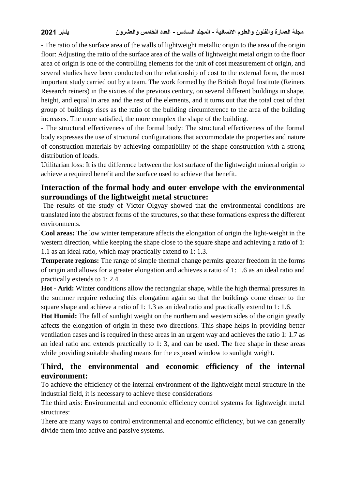- The ratio of the surface area of the walls of lightweight metallic origin to the area of the origin floor: Adjusting the ratio of the surface area of the walls of lightweight metal origin to the floor area of origin is one of the controlling elements for the unit of cost measurement of origin, and several studies have been conducted on the relationship of cost to the external form, the most important study carried out by a team. The work formed by the British Royal Institute (Reiners Research reiners) in the sixties of the previous century, on several different buildings in shape, height, and equal in area and the rest of the elements, and it turns out that the total cost of that group of buildings rises as the ratio of the building circumference to the area of the building increases. The more satisfied, the more complex the shape of the building.

- The structural effectiveness of the formal body: The structural effectiveness of the formal body expresses the use of structural configurations that accommodate the properties and nature of construction materials by achieving compatibility of the shape construction with a strong distribution of loads.

Utilitarian loss: It is the difference between the lost surface of the lightweight mineral origin to achieve a required benefit and the surface used to achieve that benefit.

## **Interaction of the formal body and outer envelope with the environmental surroundings of the lightweight metal structure:**

The results of the study of Victor Olgyay showed that the environmental conditions are translated into the abstract forms of the structures, so that these formations express the different environments.

**Cool areas:** The low winter temperature affects the elongation of origin the light-weight in the western direction, while keeping the shape close to the square shape and achieving a ratio of 1: 1.1 as an ideal ratio, which may practically extend to 1: 1.3.

**Temperate regions:** The range of simple thermal change permits greater freedom in the forms of origin and allows for a greater elongation and achieves a ratio of 1: 1.6 as an ideal ratio and practically extends to 1: 2.4.

**Hot - Arid:** Winter conditions allow the rectangular shape, while the high thermal pressures in the summer require reducing this elongation again so that the buildings come closer to the square shape and achieve a ratio of 1: 1.3 as an ideal ratio and practically extend to 1: 1.6.

**Hot Humid:** The fall of sunlight weight on the northern and western sides of the origin greatly affects the elongation of origin in these two directions. This shape helps in providing better ventilation cases and is required in these areas in an urgent way and achieves the ratio 1: 1.7 as an ideal ratio and extends practically to 1: 3, and can be used. The free shape in these areas while providing suitable shading means for the exposed window to sunlight weight.

# **Third, the environmental and economic efficiency of the internal environment:**

To achieve the efficiency of the internal environment of the lightweight metal structure in the industrial field, it is necessary to achieve these considerations

The third axis: Environmental and economic efficiency control systems for lightweight metal structures:

There are many ways to control environmental and economic efficiency, but we can generally divide them into active and passive systems.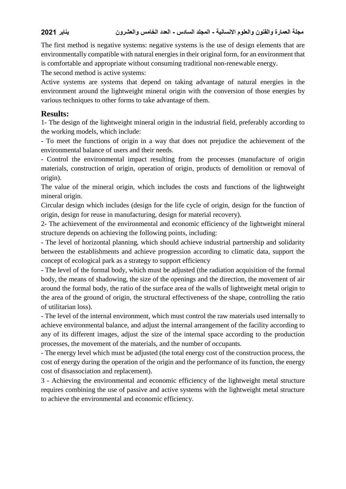The first method is negative systems: negative systems is the use of design elements that are environmentally compatible with natural energies in their original form, for an environment that is comfortable and appropriate without consuming traditional non-renewable energy.

The second method is active systems:

Active systems are systems that depend on taking advantage of natural energies in the environment around the lightweight mineral origin with the conversion of those energies by various techniques to other forms to take advantage of them.

#### **Results:**

1- The design of the lightweight mineral origin in the industrial field, preferably according to the working models, which include:

- To meet the functions of origin in a way that does not prejudice the achievement of the environmental balance of users and their needs.

- Control the environmental impact resulting from the processes (manufacture of origin materials, construction of origin, operation of origin, products of demolition or removal of origin).

The value of the mineral origin, which includes the costs and functions of the lightweight mineral origin.

Circular design which includes (design for the life cycle of origin, design for the function of origin, design for reuse in manufacturing, design for material recovery).

2- The achievement of the environmental and economic efficiency of the lightweight mineral structure depends on achieving the following points, including:

- The level of horizontal planning, which should achieve industrial partnership and solidarity between the establishments and achieve progression according to climatic data, support the concept of ecological park as a strategy to support efficiency

- The level of the formal body, which must be adjusted (the radiation acquisition of the formal body, the means of shadowing, the size of the openings and the direction, the movement of air around the formal body, the ratio of the surface area of the walls of lightweight metal origin to the area of the ground of origin, the structural effectiveness of the shape, controlling the ratio of utilitarian loss).

- The level of the internal environment, which must control the raw materials used internally to achieve environmental balance, and adjust the internal arrangement of the facility according to any of its different images, adjust the size of the internal space according to the production processes, the movement of the materials, and the number of occupants.

- The energy level which must be adjusted (the total energy cost of the construction process, the cost of energy during the operation of the origin and the performance of its function, the energy cost of disassociation and replacement).

3 - Achieving the environmental and economic efficiency of the lightweight metal structure requires combining the use of passive and active systems with the lightweight metal structure to achieve the environmental and economic efficiency.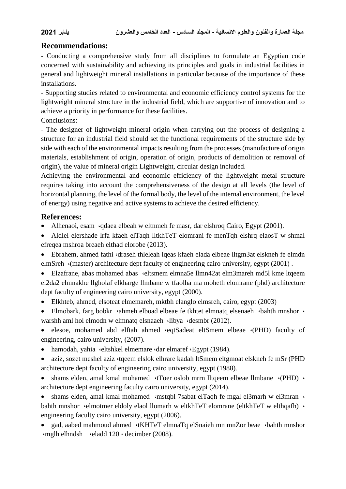#### **Recommendations:**

- Conducting a comprehensive study from all disciplines to formulate an Egyptian code concerned with sustainability and achieving its principles and goals in industrial facilities in general and lightweight mineral installations in particular because of the importance of these installations.

- Supporting studies related to environmental and economic efficiency control systems for the lightweight mineral structure in the industrial field, which are supportive of innovation and to achieve a priority in performance for these facilities.

Conclusions:

- The designer of lightweight mineral origin when carrying out the process of designing a structure for an industrial field should set the functional requirements of the structure side by side with each of the environmental impacts resulting from the processes (manufacture of origin materials, establishment of origin, operation of origin, products of demolition or removal of origin), the value of mineral origin Lightweight, circular design included.

Achieving the environmental and economic efficiency of the lightweight metal structure requires taking into account the comprehensiveness of the design at all levels (the level of horizontal planning, the level of the formal body, the level of the internal environment, the level of energy) using negative and active systems to achieve the desired efficiency.

#### **References:**

- Alhenaoi, esam ·qdaea elbeah w eltnmeh fe masr, dar elshroq Cairo, Egypt (2001).
- Aldlel elershade lrfa kfaeh elTaqh lltkhTeT elomrani fe menTqh elshrq elaosT w shmal efreqea mshroa breaeh elthad elorobe (2013).
- Ebrahem, ahmed fathi ،draseh thleleah lqeas kfaeh elada elbeae lltgm3at elskneh fe elmdn elmSreh ،(master) architecture dept faculty of engineering cairo university, egypt (2001) .
- Elzafrane, abas mohamed abas «eltsmem elmna5e llmn42at elm3mareh md5l kme ltqeem el2da2 elmnakhe llgholaf elkharge llmbane w tfaolha ma moheth elomrane (phd) architecture dept faculty of engineering cairo university, egypt (2000).
- Elkhteb, ahmed, elsoteat elmemareh, mktbh elanglo elmsreh, cairo, egypt (2003)
- Elmobark, farg bobkr ·ahmeh elboad elbeae fe tkhtet elmnatq elsenaeh ·bahth mnshor · warshh aml hol elmodn w elmnatq elsnaaeh ·libya ·desmbr (2012).
- elesoe, mohamed abd elftah ahmed ،eqtSadeat eltSmem elbeae ،(PHD) faculty of engineering, cairo university, (2007).
- hamodah, yahia «eltshkel elmemare «dar elmaref «Egypt (1984).
- aziz, sozet meshel aziz «tgeem elslok elhrare kadah ltSmem eltgmoat elskneh fe mSr (PHD architecture dept faculty of engineering cairo university, egypt (1988).
- shams elden, amal kmal mohamed «Toer oslob mrrn lltqeem elbeae llmbane »(PHD) » architecture dept engineering faculty cairo university, egypt (2014).
- shams elden, amal kmal mohamed «mstqbl 7sabat elTaqh fe mgal el3marh w el3mran » bahth mnshor «elmotmer eldoly elaol llomarh w eltkhTeT elomrane (eltkhTeT w elthqafh) « engineering faculty cairo university, egypt (2006).
- gad, aabed mahmoud ahmed «KHTeT elmnaTq elSnaieh mn mnZor beae «bahth mnshor ،mglh elhndsh ،eladd 120 ، decimber (2008).